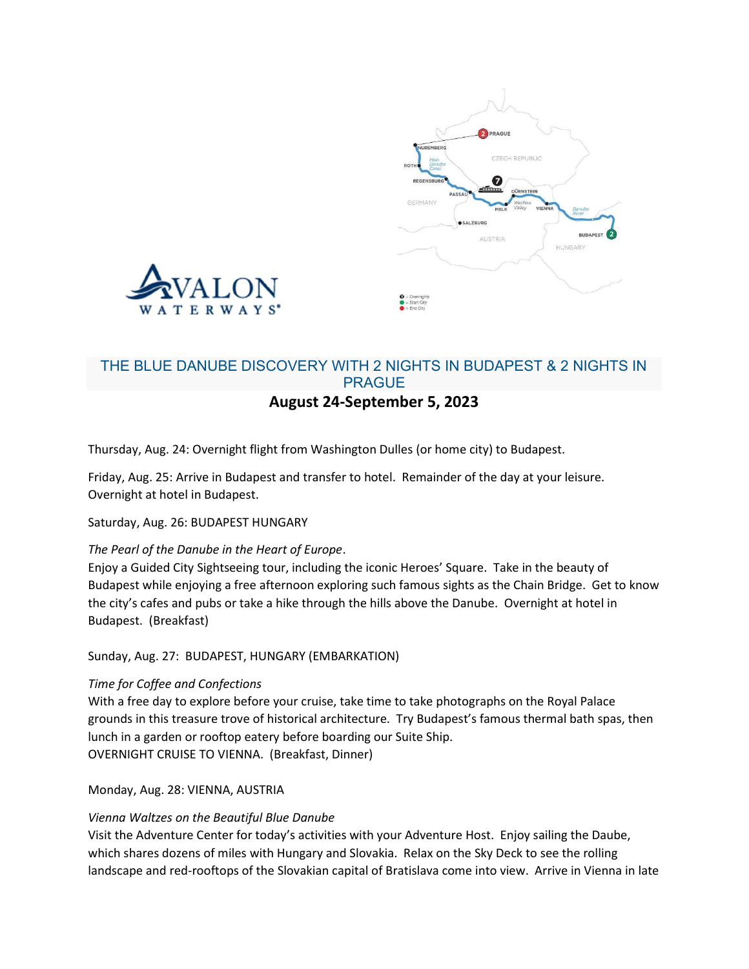



# THE BLUE DANUBE DISCOVERY WITH 2 NIGHTS IN BUDAPEST & 2 NIGHTS IN PRAGUE August 24-September 5, 2023

Thursday, Aug. 24: Overnight flight from Washington Dulles (or home city) to Budapest.

Friday, Aug. 25: Arrive in Budapest and transfer to hotel. Remainder of the day at your leisure. Overnight at hotel in Budapest.

Saturday, Aug. 26: BUDAPEST HUNGARY

### The Pearl of the Danube in the Heart of Europe.

Enjoy a Guided City Sightseeing tour, including the iconic Heroes' Square. Take in the beauty of Budapest while enjoying a free afternoon exploring such famous sights as the Chain Bridge. Get to know the city's cafes and pubs or take a hike through the hills above the Danube. Overnight at hotel in Budapest. (Breakfast)

Sunday, Aug. 27: BUDAPEST, HUNGARY (EMBARKATION)

### Time for Coffee and Confections

With a free day to explore before your cruise, take time to take photographs on the Royal Palace grounds in this treasure trove of historical architecture. Try Budapest's famous thermal bath spas, then lunch in a garden or rooftop eatery before boarding our Suite Ship. OVERNIGHT CRUISE TO VIENNA. (Breakfast, Dinner)

Monday, Aug. 28: VIENNA, AUSTRIA

### Vienna Waltzes on the Beautiful Blue Danube

Visit the Adventure Center for today's activities with your Adventure Host. Enjoy sailing the Daube, which shares dozens of miles with Hungary and Slovakia. Relax on the Sky Deck to see the rolling landscape and red-rooftops of the Slovakian capital of Bratislava come into view. Arrive in Vienna in late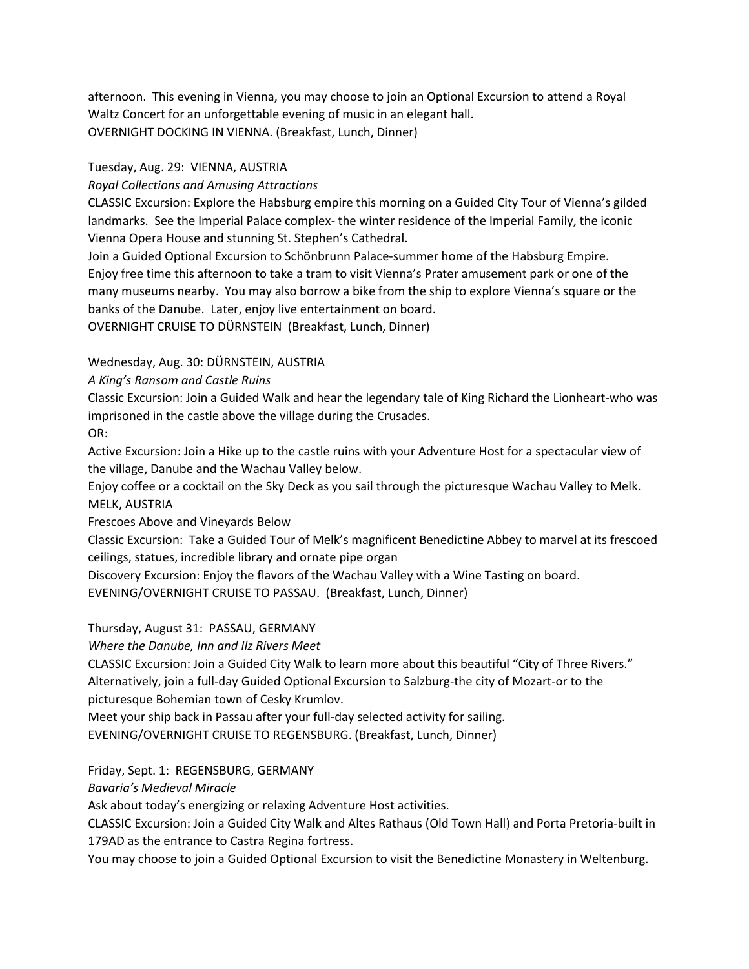afternoon. This evening in Vienna, you may choose to join an Optional Excursion to attend a Royal Waltz Concert for an unforgettable evening of music in an elegant hall. OVERNIGHT DOCKING IN VIENNA. (Breakfast, Lunch, Dinner)

## Tuesday, Aug. 29: VIENNA, AUSTRIA

## Royal Collections and Amusing Attractions

CLASSIC Excursion: Explore the Habsburg empire this morning on a Guided City Tour of Vienna's gilded landmarks. See the Imperial Palace complex- the winter residence of the Imperial Family, the iconic Vienna Opera House and stunning St. Stephen's Cathedral.

Join a Guided Optional Excursion to Schönbrunn Palace-summer home of the Habsburg Empire. Enjoy free time this afternoon to take a tram to visit Vienna's Prater amusement park or one of the many museums nearby. You may also borrow a bike from the ship to explore Vienna's square or the banks of the Danube. Later, enjoy live entertainment on board.

OVERNIGHT CRUISE TO DÜRNSTEIN (Breakfast, Lunch, Dinner)

# Wednesday, Aug. 30: DÜRNSTEIN, AUSTRIA

## A King's Ransom and Castle Ruins

Classic Excursion: Join a Guided Walk and hear the legendary tale of King Richard the Lionheart-who was imprisoned in the castle above the village during the Crusades.

OR:

Active Excursion: Join a Hike up to the castle ruins with your Adventure Host for a spectacular view of the village, Danube and the Wachau Valley below.

Enjoy coffee or a cocktail on the Sky Deck as you sail through the picturesque Wachau Valley to Melk. MELK, AUSTRIA

Frescoes Above and Vineyards Below

Classic Excursion: Take a Guided Tour of Melk's magnificent Benedictine Abbey to marvel at its frescoed ceilings, statues, incredible library and ornate pipe organ

Discovery Excursion: Enjoy the flavors of the Wachau Valley with a Wine Tasting on board. EVENING/OVERNIGHT CRUISE TO PASSAU. (Breakfast, Lunch, Dinner)

Thursday, August 31: PASSAU, GERMANY

Where the Danube, Inn and Ilz Rivers Meet

CLASSIC Excursion: Join a Guided City Walk to learn more about this beautiful "City of Three Rivers." Alternatively, join a full-day Guided Optional Excursion to Salzburg-the city of Mozart-or to the picturesque Bohemian town of Cesky Krumlov.

Meet your ship back in Passau after your full-day selected activity for sailing.

EVENING/OVERNIGHT CRUISE TO REGENSBURG. (Breakfast, Lunch, Dinner)

Friday, Sept. 1: REGENSBURG, GERMANY

Bavaria's Medieval Miracle

Ask about today's energizing or relaxing Adventure Host activities.

CLASSIC Excursion: Join a Guided City Walk and Altes Rathaus (Old Town Hall) and Porta Pretoria-built in 179AD as the entrance to Castra Regina fortress.

You may choose to join a Guided Optional Excursion to visit the Benedictine Monastery in Weltenburg.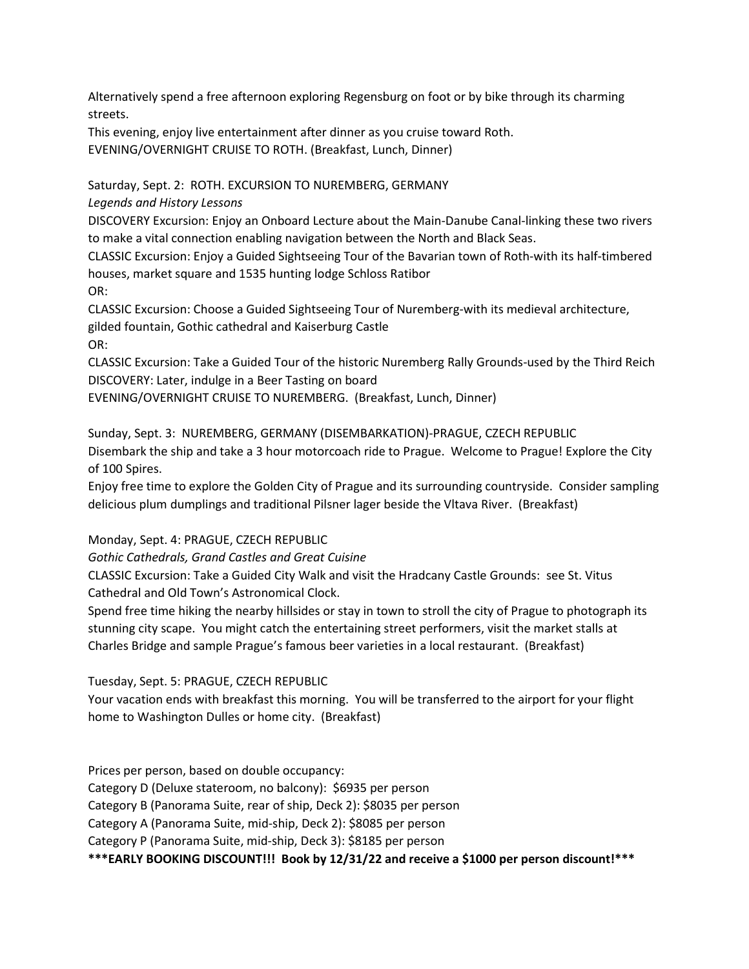Alternatively spend a free afternoon exploring Regensburg on foot or by bike through its charming streets.

This evening, enjoy live entertainment after dinner as you cruise toward Roth.

EVENING/OVERNIGHT CRUISE TO ROTH. (Breakfast, Lunch, Dinner)

Saturday, Sept. 2: ROTH. EXCURSION TO NUREMBERG, GERMANY

Legends and History Lessons

DISCOVERY Excursion: Enjoy an Onboard Lecture about the Main-Danube Canal-linking these two rivers to make a vital connection enabling navigation between the North and Black Seas.

CLASSIC Excursion: Enjoy a Guided Sightseeing Tour of the Bavarian town of Roth-with its half-timbered houses, market square and 1535 hunting lodge Schloss Ratibor

OR:

CLASSIC Excursion: Choose a Guided Sightseeing Tour of Nuremberg-with its medieval architecture, gilded fountain, Gothic cathedral and Kaiserburg Castle OR:

CLASSIC Excursion: Take a Guided Tour of the historic Nuremberg Rally Grounds-used by the Third Reich DISCOVERY: Later, indulge in a Beer Tasting on board

EVENING/OVERNIGHT CRUISE TO NUREMBERG. (Breakfast, Lunch, Dinner)

Sunday, Sept. 3: NUREMBERG, GERMANY (DISEMBARKATION)-PRAGUE, CZECH REPUBLIC Disembark the ship and take a 3 hour motorcoach ride to Prague. Welcome to Prague! Explore the City of 100 Spires.

Enjoy free time to explore the Golden City of Prague and its surrounding countryside. Consider sampling delicious plum dumplings and traditional Pilsner lager beside the Vltava River. (Breakfast)

Monday, Sept. 4: PRAGUE, CZECH REPUBLIC

Gothic Cathedrals, Grand Castles and Great Cuisine

CLASSIC Excursion: Take a Guided City Walk and visit the Hradcany Castle Grounds: see St. Vitus Cathedral and Old Town's Astronomical Clock.

Spend free time hiking the nearby hillsides or stay in town to stroll the city of Prague to photograph its stunning city scape. You might catch the entertaining street performers, visit the market stalls at Charles Bridge and sample Prague's famous beer varieties in a local restaurant. (Breakfast)

Tuesday, Sept. 5: PRAGUE, CZECH REPUBLIC

Your vacation ends with breakfast this morning. You will be transferred to the airport for your flight home to Washington Dulles or home city. (Breakfast)

Prices per person, based on double occupancy:

Category D (Deluxe stateroom, no balcony): \$6935 per person

Category B (Panorama Suite, rear of ship, Deck 2): \$8035 per person

Category A (Panorama Suite, mid-ship, Deck 2): \$8085 per person

Category P (Panorama Suite, mid-ship, Deck 3): \$8185 per person

\*\*\*EARLY BOOKING DISCOUNT!!! Book by 12/31/22 and receive a \$1000 per person discount!\*\*\*